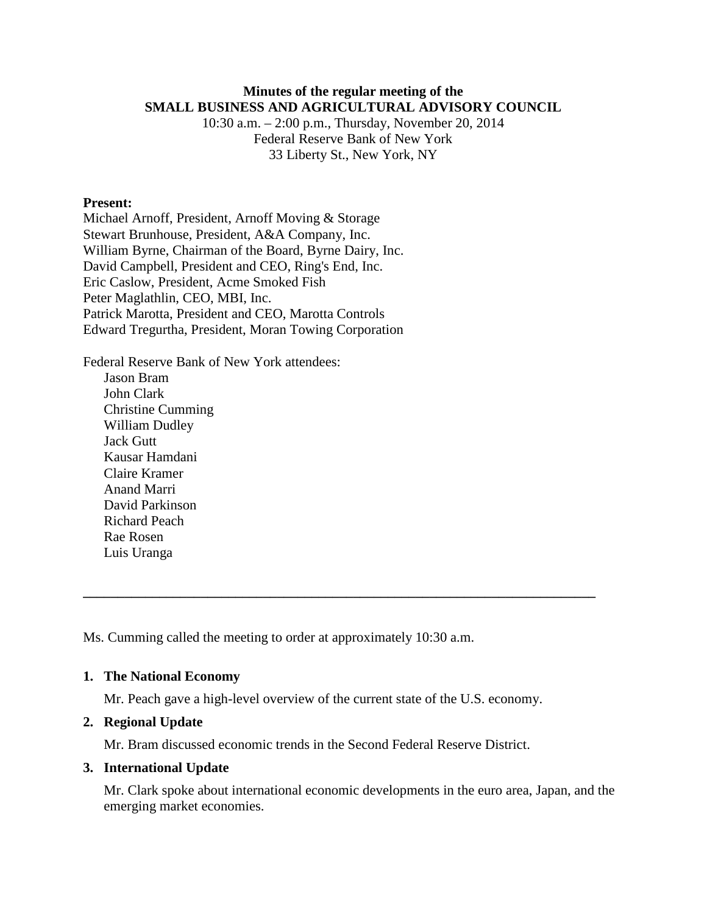# **Minutes of the regular meeting of the SMALL BUSINESS AND AGRICULTURAL ADVISORY COUNCIL**

10:30 a.m. – 2:00 p.m., Thursday, November 20, 2014 Federal Reserve Bank of New York 33 Liberty St., New York, NY

# **Present:**

Michael Arnoff, President, Arnoff Moving & Storage Stewart Brunhouse, President, A&A Company, Inc. William Byrne, Chairman of the Board, Byrne Dairy, Inc. David Campbell, President and CEO, Ring's End, Inc. Eric Caslow, President, Acme Smoked Fish Peter Maglathlin, CEO, MBI, Inc. Patrick Marotta, President and CEO, Marotta Controls Edward Tregurtha, President, Moran Towing Corporation

Federal Reserve Bank of New York attendees: Jason Bram John Clark Christine Cumming William Dudley Jack Gutt Kausar Hamdani Claire Kramer Anand Marri David Parkinson Richard Peach Rae Rosen Luis Uranga

Ms. Cumming called the meeting to order at approximately 10:30 a.m.

### **1. The National Economy**

Mr. Peach gave a high-level overview of the current state of the U.S. economy.

**\_\_\_\_\_\_\_\_\_\_\_\_\_\_\_\_\_\_\_\_\_\_\_\_\_\_\_\_\_\_\_\_\_\_\_\_\_\_\_\_\_\_\_\_\_\_\_\_\_\_\_\_\_\_\_\_\_\_\_\_\_\_\_\_\_\_\_\_\_\_\_\_\_\_**

#### **2. Regional Update**

Mr. Bram discussed economic trends in the Second Federal Reserve District.

### **3. International Update**

Mr. Clark spoke about international economic developments in the euro area, Japan, and the emerging market economies.